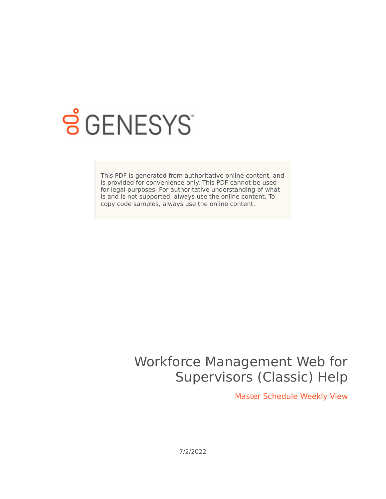

# **S** GENESYS

This PDF is generated from authoritative online content, and is provided for convenience only. This PDF cannot be used for legal purposes. For authoritative understanding of what is and is not supported, always use the online content. To copy code samples, always use the online content.

## Workforce Management Web for Supervisors (Classic) Help

Master Schedule Weekly View

7/2/2022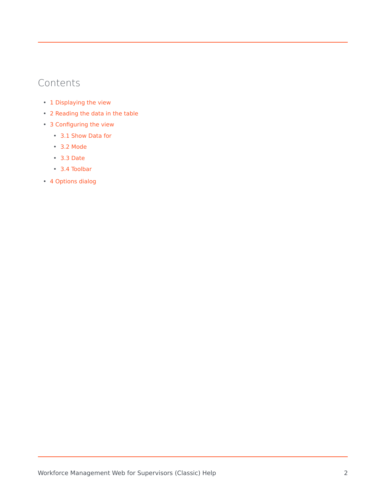## Contents

- 1 [Displaying the view](#page-2-0)
- 2 [Reading the data in the table](#page-3-0)
- 3 [Configuring the view](#page-4-0)
	- 3.1 [Show Data for](#page-4-1)
	- 3.2 [Mode](#page-4-2)
	- 3.3 [Date](#page-4-3)
	- 3.4 [Toolbar](#page-5-0)
- 4 [Options dialog](#page-6-0)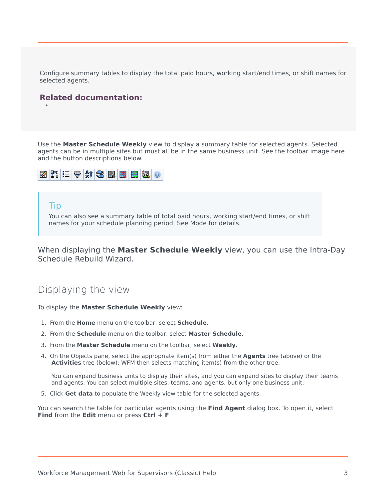Configure summary tables to display the total paid hours, working start/end times, or shift names for selected agents.

#### **Related documentation:**

Use the **Master Schedule Weekly** view to display a summary table for selected agents. Selected agents can be in multiple sites but must all be in the same business unit. See the toolbar image here and the button descriptions below.



#### Tip

•

You can also see a summary table of total paid hours, working start/end times, or shift names for your schedule planning period. See Mode for details.

When displaying the **Master Schedule Weekly** view, you can use the Intra-Day Schedule Rebuild Wizard.

## <span id="page-2-0"></span>Displaying the view

To display the **Master Schedule Weekly** view:

- 1. From the **Home** menu on the toolbar, select **Schedule**.
- 2. From the **Schedule** menu on the toolbar, select **Master Schedule**.
- 3. From the **Master Schedule** menu on the toolbar, select **Weekly**.
- 4. On the Objects pane, select the appropriate item(s) from either the **Agents** tree (above) or the **Activities** tree (below); WFM then selects matching item(s) from the other tree.

You can expand business units to display their sites, and you can expand sites to display their teams and agents. You can select multiple sites, teams, and agents, but only one business unit.

5. Click **Get data** to populate the Weekly view table for the selected agents.

You can search the table for particular agents using the **Find Agent** dialog box. To open it, select **Find** from the **Edit** menu or press **Ctrl + F**.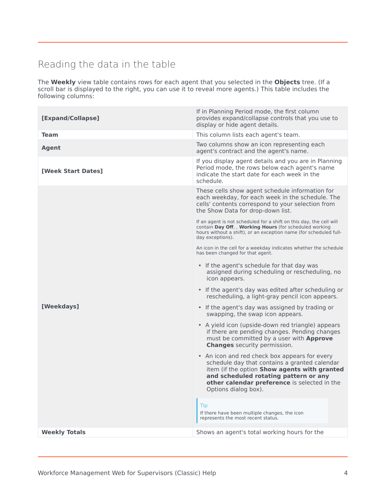## <span id="page-3-0"></span>Reading the data in the table

The **Weekly** view table contains rows for each agent that you selected in the **Objects** tree. (If a scroll bar is displayed to the right, you can use it to reveal more agents.) This table includes the following columns:

| [Expand/Collapse]    | If in Planning Period mode, the first column<br>provides expand/collapse controls that you use to<br>display or hide agent details.                                                                                                                             |
|----------------------|-----------------------------------------------------------------------------------------------------------------------------------------------------------------------------------------------------------------------------------------------------------------|
| <b>Team</b>          | This column lists each agent's team.                                                                                                                                                                                                                            |
| <b>Agent</b>         | Two columns show an icon representing each<br>agent's contract and the agent's name.                                                                                                                                                                            |
| [Week Start Dates]   | If you display agent details and you are in Planning<br>Period mode, the rows below each agent's name<br>indicate the start date for each week in the<br>schedule.                                                                                              |
|                      | These cells show agent schedule information for<br>each weekday, for each week in the schedule. The<br>cells' contents correspond to your selection from<br>the Show Data for drop-down list.                                                                   |
| [Weekdays]           | If an agent is not scheduled for a shift on this day, the cell will<br>contain Day Off, , Working Hours (for scheduled working<br>hours without a shift), or an exception name (for scheduled full-<br>day exceptions).                                         |
|                      | An icon in the cell for a weekday indicates whether the schedule<br>has been changed for that agent.                                                                                                                                                            |
|                      | • If the agent's schedule for that day was<br>assigned during scheduling or rescheduling, no<br>icon appears.                                                                                                                                                   |
|                      | • If the agent's day was edited after scheduling or<br>rescheduling, a light-gray pencil icon appears.                                                                                                                                                          |
|                      | • If the agent's day was assigned by trading or<br>swapping, the swap icon appears.                                                                                                                                                                             |
|                      | • A yield icon (upside-down red triangle) appears<br>if there are pending changes. Pending changes<br>must be committed by a user with Approve<br><b>Changes</b> security permission.                                                                           |
|                      | • An icon and red check box appears for every<br>schedule day that contains a granted calendar<br>item (if the option Show agents with granted<br>and scheduled rotating pattern or any<br>other calendar preference is selected in the<br>Options dialog box). |
|                      | Tip<br>If there have been multiple changes, the icon<br>represents the most recent status.                                                                                                                                                                      |
| <b>Weekly Totals</b> | Shows an agent's total working hours for the                                                                                                                                                                                                                    |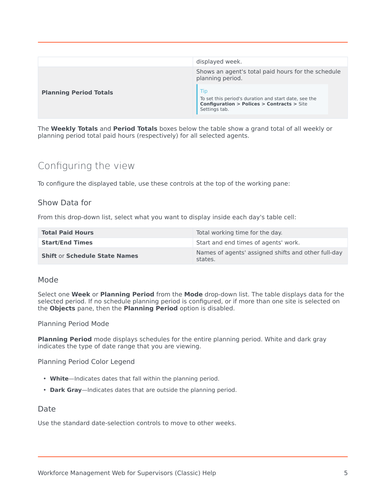|                               | displayed week.                                                                                                                             |  |
|-------------------------------|---------------------------------------------------------------------------------------------------------------------------------------------|--|
|                               | Shows an agent's total paid hours for the schedule<br>planning period.                                                                      |  |
| <b>Planning Period Totals</b> | Tip<br>To set this period's duration and start date, see the<br><b>Configuration &gt; Polices &gt; Contracts &gt; Site</b><br>Settings tab. |  |

The **Weekly Totals** and **Period Totals** boxes below the table show a grand total of all weekly or planning period total paid hours (respectively) for all selected agents.

## <span id="page-4-0"></span>Configuring the view

To configure the displayed table, use these controls at the top of the working pane:

#### <span id="page-4-1"></span>Show Data for

From this drop-down list, select what you want to display inside each day's table cell:

| <b>Total Paid Hours</b>              | Total working time for the day.                                |
|--------------------------------------|----------------------------------------------------------------|
| <b>Start/End Times</b>               | Start and end times of agents' work.                           |
| <b>Shift or Schedule State Names</b> | Names of agents' assigned shifts and other full-day<br>states. |

#### <span id="page-4-2"></span>Mode

Select one **Week** or **Planning Period** from the **Mode** drop-down list. The table displays data for the selected period. If no schedule planning period is configured, or if more than one site is selected on the **Objects** pane, then the **Planning Period** option is disabled.

#### Planning Period Mode

**Planning Period** mode displays schedules for the entire planning period. White and dark gray indicates the type of date range that you are viewing.

Planning Period Color Legend

- **White**—Indicates dates that fall within the planning period.
- **Dark Gray**—Indicates dates that are outside the planning period.

#### <span id="page-4-3"></span>Date

Use the standard date-selection controls to move to other weeks.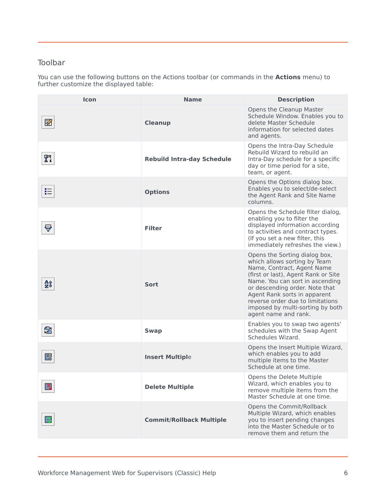#### <span id="page-5-0"></span>Toolbar

You can use the following buttons on the Actions toolbar (or commands in the **Actions** menu) to further customize the displayed table:

| Icon | <b>Name</b>                       | <b>Description</b>                                                                                                                                                                                                                                                                                                                      |
|------|-----------------------------------|-----------------------------------------------------------------------------------------------------------------------------------------------------------------------------------------------------------------------------------------------------------------------------------------------------------------------------------------|
| И    | <b>Cleanup</b>                    | Opens the Cleanup Master<br>Schedule Window. Enables you to<br>delete Master Schedule<br>information for selected dates<br>and agents.                                                                                                                                                                                                  |
| n    | <b>Rebuild Intra-day Schedule</b> | Opens the Intra-Day Schedule<br>Rebuild Wizard to rebuild an<br>Intra-Day schedule for a specific<br>day or time period for a site,<br>team, or agent.                                                                                                                                                                                  |
| 挂    | <b>Options</b>                    | Opens the Options dialog box.<br>Enables you to select/de-select<br>the Agent Rank and Site Name<br>columns.                                                                                                                                                                                                                            |
| Ų    | <b>Filter</b>                     | Opens the Schedule filter dialog,<br>enabling you to filter the<br>displayed information according<br>to activities and contract types.<br>(If you set a new filter, this<br>immediately refreshes the view.)                                                                                                                           |
| åî   | Sort                              | Opens the Sorting dialog box,<br>which allows sorting by Team<br>Name, Contract, Agent Name<br>(first or last), Agent Rank or Site<br>Name. You can sort in ascending<br>or descending order. Note that<br>Agent Rank sorts in apparent<br>reverse order due to limitations<br>imposed by multi-sorting by both<br>agent name and rank. |
| 魯    | <b>Swap</b>                       | Enables you to swap two agents'<br>schedules with the Swap Agent<br>Schedules Wizard.                                                                                                                                                                                                                                                   |
| 鞠    | <b>Insert Multiple</b>            | Opens the Insert Multiple Wizard,<br>which enables you to add<br>multiple items to the Master<br>Schedule at one time.                                                                                                                                                                                                                  |
| 談    | <b>Delete Multiple</b>            | Opens the Delete Multiple<br>Wizard, which enables you to<br>remove multiple items from the<br>Master Schedule at one time.                                                                                                                                                                                                             |
| 聼    | <b>Commit/Rollback Multiple</b>   | Opens the Commit/Rollback<br>Multiple Wizard, which enables<br>you to insert pending changes<br>into the Master Schedule or to<br>remove them and return the                                                                                                                                                                            |